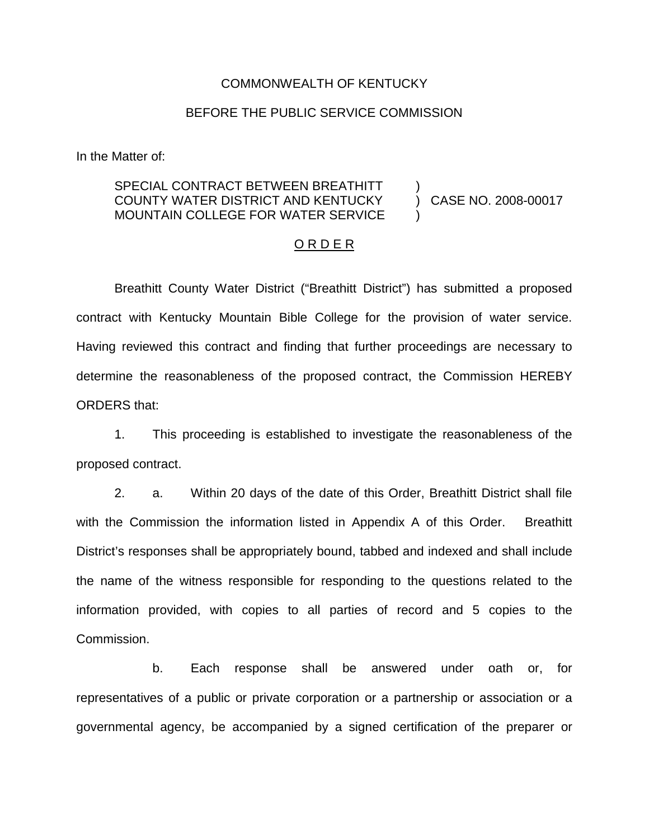### COMMONWEALTH OF KENTUCKY

## BEFORE THE PUBLIC SERVICE COMMISSION

In the Matter of:

#### SPECIAL CONTRACT BETWEEN BREATHITT COUNTY WATER DISTRICT AND KENTUCKY MOUNTAIN COLLEGE FOR WATER SERVICE ) )

) CASE NO. 2008-00017

### O R D E R

Breathitt County Water District ("Breathitt District") has submitted a proposed contract with Kentucky Mountain Bible College for the provision of water service. Having reviewed this contract and finding that further proceedings are necessary to determine the reasonableness of the proposed contract, the Commission HEREBY ORDERS that:

1. This proceeding is established to investigate the reasonableness of the proposed contract.

2. a. Within 20 days of the date of this Order, Breathitt District shall file with the Commission the information listed in Appendix A of this Order. Breathitt District's responses shall be appropriately bound, tabbed and indexed and shall include the name of the witness responsible for responding to the questions related to the information provided, with copies to all parties of record and 5 copies to the Commission.

b. Each response shall be answered under oath or, for representatives of a public or private corporation or a partnership or association or a governmental agency, be accompanied by a signed certification of the preparer or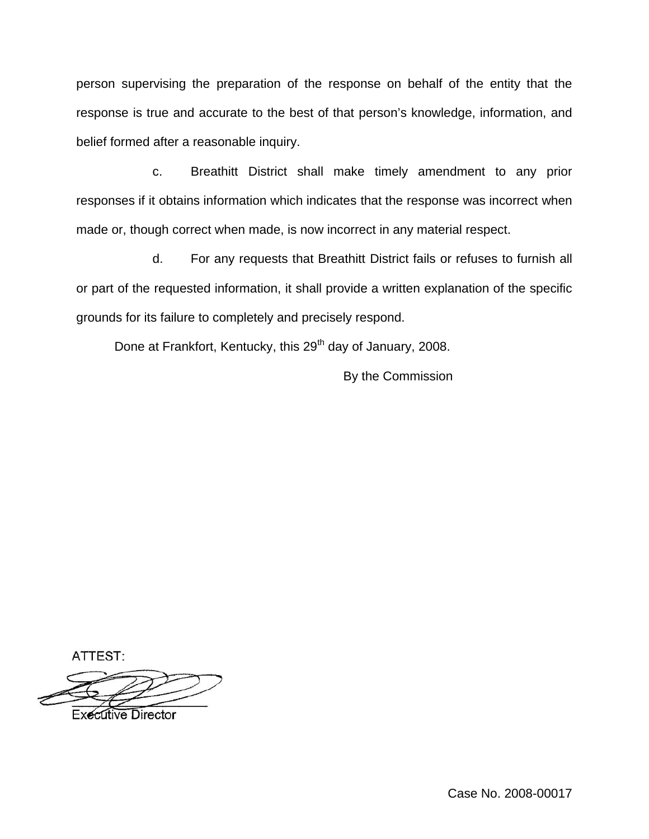person supervising the preparation of the response on behalf of the entity that the response is true and accurate to the best of that person's knowledge, information, and belief formed after a reasonable inquiry.

c. Breathitt District shall make timely amendment to any prior responses if it obtains information which indicates that the response was incorrect when made or, though correct when made, is now incorrect in any material respect.

d. For any requests that Breathitt District fails or refuses to furnish all or part of the requested information, it shall provide a written explanation of the specific grounds for its failure to completely and precisely respond.

Done at Frankfort, Kentucky, this 29<sup>th</sup> day of January, 2008.

By the Commission

ATTEST:

**Executive Director** 

Case No. 2008-00017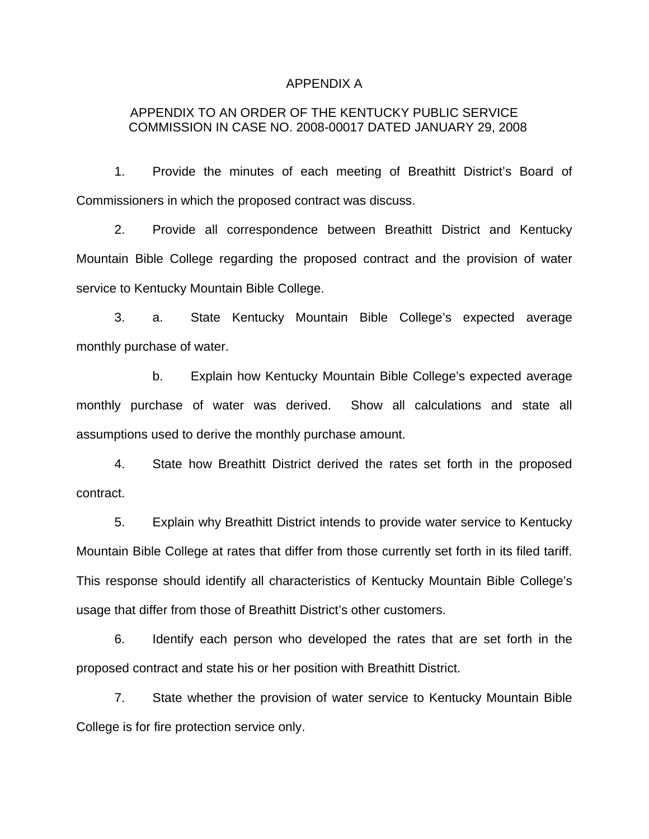#### APPENDIX A

# APPENDIX TO AN ORDER OF THE KENTUCKY PUBLIC SERVICE COMMISSION IN CASE NO. 2008-00017 DATED JANUARY 29, 2008

1. Provide the minutes of each meeting of Breathitt District's Board of Commissioners in which the proposed contract was discuss.

2. Provide all correspondence between Breathitt District and Kentucky Mountain Bible College regarding the proposed contract and the provision of water service to Kentucky Mountain Bible College.

3. a. State Kentucky Mountain Bible College's expected average monthly purchase of water.

b. Explain how Kentucky Mountain Bible College's expected average monthly purchase of water was derived. Show all calculations and state all assumptions used to derive the monthly purchase amount.

4. State how Breathitt District derived the rates set forth in the proposed contract.

5. Explain why Breathitt District intends to provide water service to Kentucky Mountain Bible College at rates that differ from those currently set forth in its filed tariff. This response should identify all characteristics of Kentucky Mountain Bible College's usage that differ from those of Breathitt District's other customers.

6. Identify each person who developed the rates that are set forth in the proposed contract and state his or her position with Breathitt District.

7. State whether the provision of water service to Kentucky Mountain Bible College is for fire protection service only.